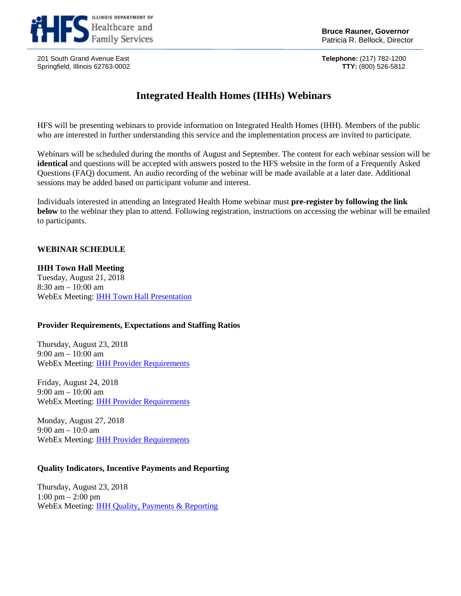

201 South Grand Avenue East **Telephone:** (217) 782-1200 Springfield, Illinois 62763-0002

# **Integrated Health Homes (IHHs) Webinars**

HFS will be presenting webinars to provide information on Integrated Health Homes (IHH). Members of the public who are interested in further understanding this service and the implementation process are invited to participate.

Webinars will be scheduled during the months of August and September. The content for each webinar session will be **identical** and questions will be accepted with answers posted to the HFS website in the form of a Frequently Asked Questions (FAQ) document. An audio recording of the webinar will be made available at a later date. Additional sessions may be added based on participant volume and interest.

Individuals interested in attending an Integrated Health Home webinar must **pre-register by following the link below** to the webinar they plan to attend. Following registration, instructions on accessing the webinar will be emailed to participants.

## **WEBINAR SCHEDULE**

#### **IHH Town Hall Meeting**

Tuesday, August 21, 2018 8:30 am – 10:00 am WebEx Meeting: [IHH Town Hall Presentation](https://illinois.webex.com/illinois/onstage/g.php?MTID=e10612ec4c8663bcd9833d8dd0f1d742a)

#### **Provider Requirements, Expectations and Staffing Ratios**

Thursday, August 23, 2018 9:00 am – 10:00 am WebEx Meeting: [IHH Provider Requirements](https://illinois.webex.com/illinois/onstage/g.php?MTID=e57ec9f56f917d568fa0f8f9e924d6f6c)

Friday, August 24, 2018 9:00 am – 10:00 am WebEx Meeting: [IHH Provider Requirements](https://illinois.webex.com/illinois/onstage/g.php?MTID=ebfd9c653c5bf70c51552974d5e936615)

Monday, August 27, 2018 9:00 am – 10:0 am WebEx Meeting: [IHH Provider Requirements](https://illinois.webex.com/illinois/onstage/g.php?MTID=e6517abdd3d7d3b89237879a6e5569ccd)

### **Quality Indicators, Incentive Payments and Reporting**

Thursday, August 23, 2018 1:00 pm – 2:00 pm WebEx Meeting: [IHH Quality, Payments & Reporting](https://illinois.webex.com/illinois/onstage/g.php?MTID=e410886b594a51b0631a6fbc5fd8857d3)